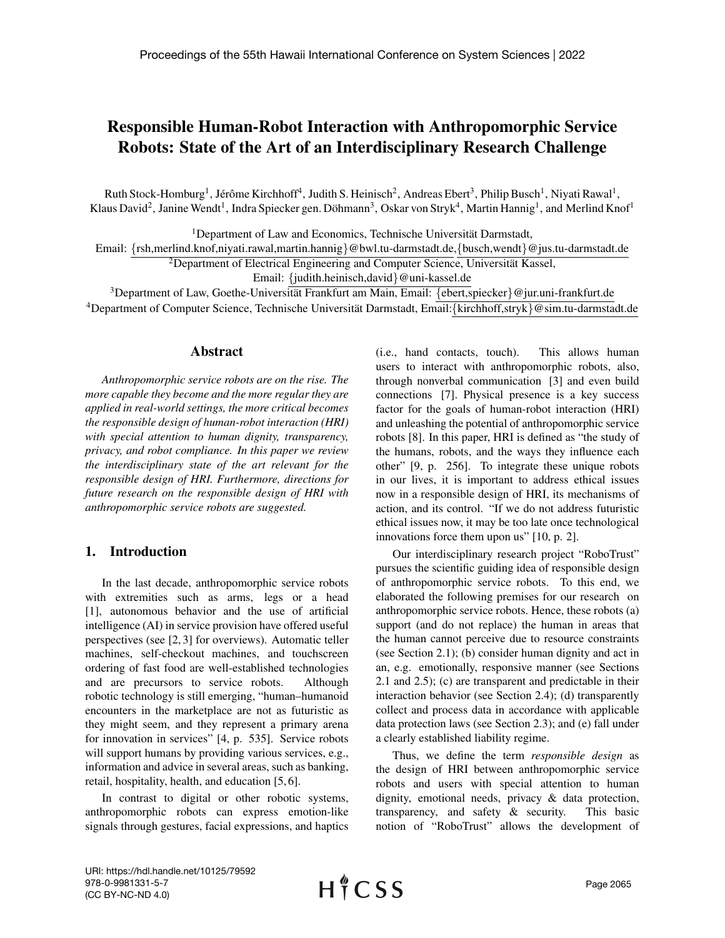# Responsible Human-Robot Interaction with Anthropomorphic Service Robots: State of the Art of an Interdisciplinary Research Challenge

Ruth Stock-Homburg<sup>1</sup>, Jérôme Kirchhoff<sup>4</sup>, Judith S. Heinisch<sup>2</sup>, Andreas Ebert<sup>3</sup>, Philip Busch<sup>1</sup>, Niyati Rawal<sup>1</sup>, Klaus David<sup>2</sup>, Janine Wendt<sup>1</sup>, Indra Spiecker gen. Döhmann<sup>3</sup>, Oskar von Stryk<sup>4</sup>, Martin Hannig<sup>1</sup>, and Merlind Knof<sup>1</sup>

<sup>1</sup>Department of Law and Economics, Technische Universität Darmstadt,

Email: {rsh,merlind.knof,niyati.rawal,martin.hannig}@bwl.tu-darmstadt.de,{busch,wendt}@jus.tu-darmstadt.de

 ${}^{2}$ Department of Electrical Engineering and Computer Science, Universität Kassel,

Email: {judith.heinisch,david}@uni-kassel.de

<sup>3</sup>Department of Law, Goethe-Universität Frankfurt am Main, Email: {ebert,spiecker}@jur.uni-frankfurt.de <sup>4</sup>Department of Computer Science, Technische Universität Darmstadt, Email: {kirchhoff,stryk}@sim.tu-darmstadt.de

#### Abstract

*Anthropomorphic service robots are on the rise. The more capable they become and the more regular they are applied in real-world settings, the more critical becomes the responsible design of human-robot interaction (HRI) with special attention to human dignity, transparency, privacy, and robot compliance. In this paper we review the interdisciplinary state of the art relevant for the responsible design of HRI. Furthermore, directions for future research on the responsible design of HRI with anthropomorphic service robots are suggested.*

#### 1. Introduction

In the last decade, anthropomorphic service robots with extremities such as arms, legs or a head [1], autonomous behavior and the use of artificial intelligence (AI) in service provision have offered useful perspectives (see [2, 3] for overviews). Automatic teller machines, self-checkout machines, and touchscreen ordering of fast food are well-established technologies and are precursors to service robots. Although robotic technology is still emerging, "human–humanoid encounters in the marketplace are not as futuristic as they might seem, and they represent a primary arena for innovation in services" [4, p. 535]. Service robots will support humans by providing various services, e.g., information and advice in several areas, such as banking, retail, hospitality, health, and education [5, 6].

In contrast to digital or other robotic systems, anthropomorphic robots can express emotion-like signals through gestures, facial expressions, and haptics (i.e., hand contacts, touch). This allows human users to interact with anthropomorphic robots, also, through nonverbal communication [3] and even build connections [7]. Physical presence is a key success factor for the goals of human-robot interaction (HRI) and unleashing the potential of anthropomorphic service robots [8]. In this paper, HRI is defined as "the study of the humans, robots, and the ways they influence each other" [9, p. 256]. To integrate these unique robots in our lives, it is important to address ethical issues now in a responsible design of HRI, its mechanisms of action, and its control. "If we do not address futuristic ethical issues now, it may be too late once technological innovations force them upon us" [10, p. 2].

Our interdisciplinary research project "RoboTrust" pursues the scientific guiding idea of responsible design of anthropomorphic service robots. To this end, we elaborated the following premises for our research on anthropomorphic service robots. Hence, these robots (a) support (and do not replace) the human in areas that the human cannot perceive due to resource constraints (see Section 2.1); (b) consider human dignity and act in an, e.g. emotionally, responsive manner (see Sections 2.1 and 2.5); (c) are transparent and predictable in their interaction behavior (see Section 2.4); (d) transparently collect and process data in accordance with applicable data protection laws (see Section 2.3); and (e) fall under a clearly established liability regime.

Thus, we define the term *responsible design* as the design of HRI between anthropomorphic service robots and users with special attention to human dignity, emotional needs, privacy & data protection, transparency, and safety & security. This basic notion of "RoboTrust" allows the development of

URI: https://hdl.handle.net/10125/79592 978-0-9981331-5-7 (CC BY-NC-ND 4.0)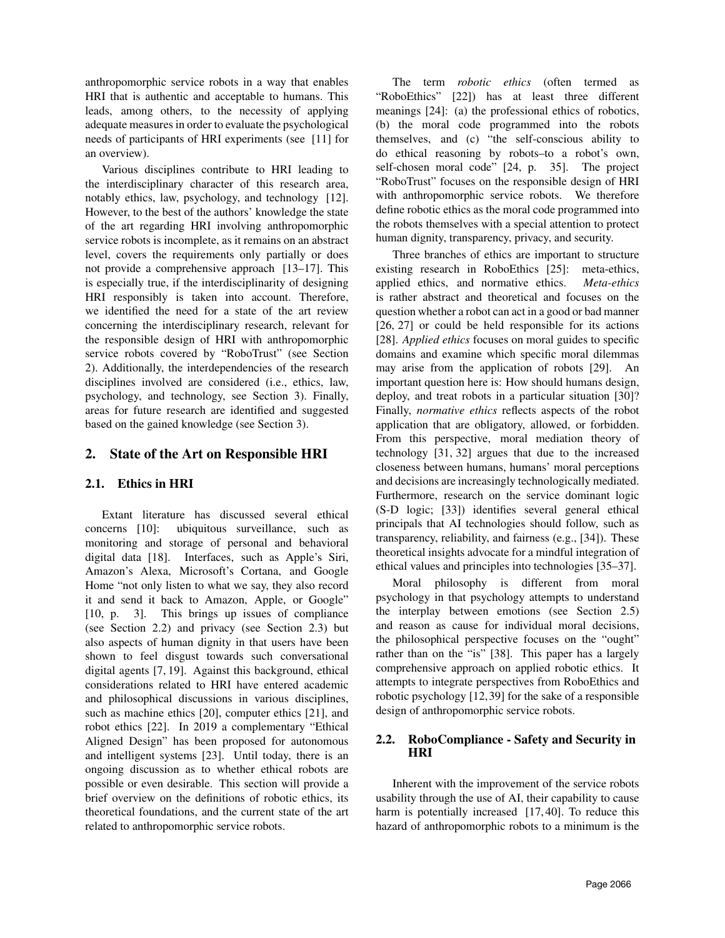anthropomorphic service robots in a way that enables HRI that is authentic and acceptable to humans. This leads, among others, to the necessity of applying adequate measures in order to evaluate the psychological needs of participants of HRI experiments (see [11] for an overview).

Various disciplines contribute to HRI leading to the interdisciplinary character of this research area, notably ethics, law, psychology, and technology [12]. However, to the best of the authors' knowledge the state of the art regarding HRI involving anthropomorphic service robots is incomplete, as it remains on an abstract level, covers the requirements only partially or does not provide a comprehensive approach [13–17]. This is especially true, if the interdisciplinarity of designing HRI responsibly is taken into account. Therefore, we identified the need for a state of the art review concerning the interdisciplinary research, relevant for the responsible design of HRI with anthropomorphic service robots covered by "RoboTrust" (see Section 2). Additionally, the interdependencies of the research disciplines involved are considered (i.e., ethics, law, psychology, and technology, see Section 3). Finally, areas for future research are identified and suggested based on the gained knowledge (see Section 3).

# 2. State of the Art on Responsible HRI

## 2.1. Ethics in HRI

Extant literature has discussed several ethical concerns [10]: ubiquitous surveillance, such as monitoring and storage of personal and behavioral digital data [18]. Interfaces, such as Apple's Siri, Amazon's Alexa, Microsoft's Cortana, and Google Home "not only listen to what we say, they also record it and send it back to Amazon, Apple, or Google" [10, p. 3]. This brings up issues of compliance (see Section 2.2) and privacy (see Section 2.3) but also aspects of human dignity in that users have been shown to feel disgust towards such conversational digital agents [7, 19]. Against this background, ethical considerations related to HRI have entered academic and philosophical discussions in various disciplines, such as machine ethics [20], computer ethics [21], and robot ethics [22]. In 2019 a complementary "Ethical Aligned Design" has been proposed for autonomous and intelligent systems [23]. Until today, there is an ongoing discussion as to whether ethical robots are possible or even desirable. This section will provide a brief overview on the definitions of robotic ethics, its theoretical foundations, and the current state of the art related to anthropomorphic service robots.

The term *robotic ethics* (often termed as "RoboEthics" [22]) has at least three different meanings [24]: (a) the professional ethics of robotics, (b) the moral code programmed into the robots themselves, and (c) "the self-conscious ability to do ethical reasoning by robots–to a robot's own, self-chosen moral code" [24, p. 35]. The project "RoboTrust" focuses on the responsible design of HRI with anthropomorphic service robots. We therefore define robotic ethics as the moral code programmed into the robots themselves with a special attention to protect human dignity, transparency, privacy, and security.

Three branches of ethics are important to structure existing research in RoboEthics [25]: meta-ethics, applied ethics, and normative ethics. *Meta-ethics* is rather abstract and theoretical and focuses on the question whether a robot can act in a good or bad manner [26, 27] or could be held responsible for its actions [28]. *Applied ethics* focuses on moral guides to specific domains and examine which specific moral dilemmas may arise from the application of robots [29]. An important question here is: How should humans design, deploy, and treat robots in a particular situation [30]? Finally, *normative ethics* reflects aspects of the robot application that are obligatory, allowed, or forbidden. From this perspective, moral mediation theory of technology [31, 32] argues that due to the increased closeness between humans, humans' moral perceptions and decisions are increasingly technologically mediated. Furthermore, research on the service dominant logic (S-D logic; [33]) identifies several general ethical principals that AI technologies should follow, such as transparency, reliability, and fairness (e.g., [34]). These theoretical insights advocate for a mindful integration of ethical values and principles into technologies [35–37].

Moral philosophy is different from moral psychology in that psychology attempts to understand the interplay between emotions (see Section 2.5) and reason as cause for individual moral decisions, the philosophical perspective focuses on the "ought" rather than on the "is" [38]. This paper has a largely comprehensive approach on applied robotic ethics. It attempts to integrate perspectives from RoboEthics and robotic psychology [12,39] for the sake of a responsible design of anthropomorphic service robots.

#### 2.2. RoboCompliance - Safety and Security in HRI

Inherent with the improvement of the service robots usability through the use of AI, their capability to cause harm is potentially increased [17, 40]. To reduce this hazard of anthropomorphic robots to a minimum is the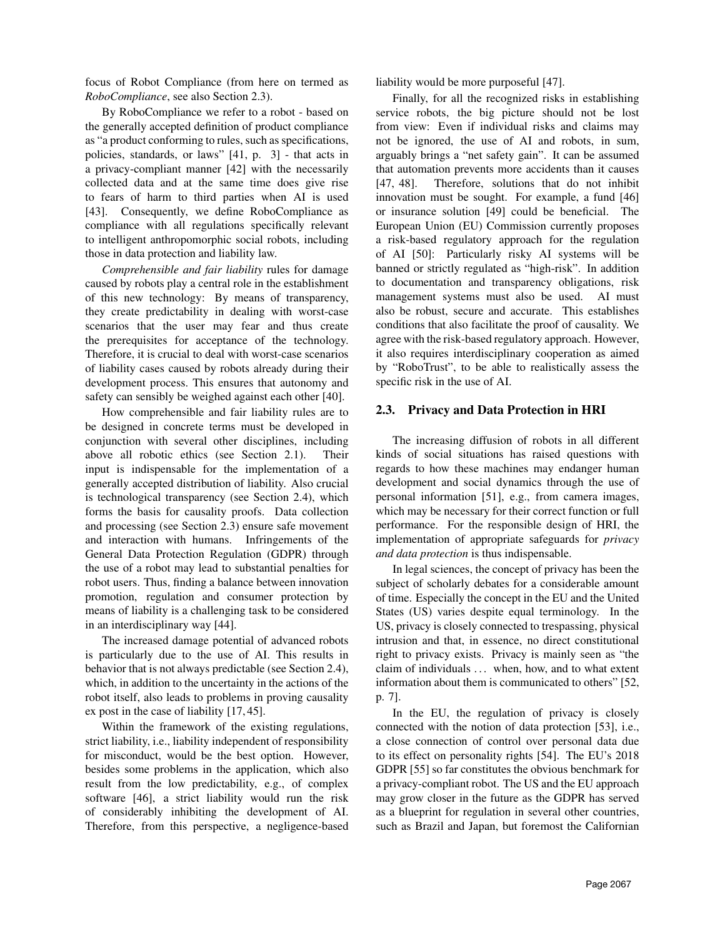focus of Robot Compliance (from here on termed as *RoboCompliance*, see also Section 2.3).

By RoboCompliance we refer to a robot - based on the generally accepted definition of product compliance as "a product conforming to rules, such as specifications, policies, standards, or laws" [41, p. 3] - that acts in a privacy-compliant manner [42] with the necessarily collected data and at the same time does give rise to fears of harm to third parties when AI is used [43]. Consequently, we define RoboCompliance as compliance with all regulations specifically relevant to intelligent anthropomorphic social robots, including those in data protection and liability law.

*Comprehensible and fair liability* rules for damage caused by robots play a central role in the establishment of this new technology: By means of transparency, they create predictability in dealing with worst-case scenarios that the user may fear and thus create the prerequisites for acceptance of the technology. Therefore, it is crucial to deal with worst-case scenarios of liability cases caused by robots already during their development process. This ensures that autonomy and safety can sensibly be weighed against each other [40].

How comprehensible and fair liability rules are to be designed in concrete terms must be developed in conjunction with several other disciplines, including above all robotic ethics (see Section 2.1). Their input is indispensable for the implementation of a generally accepted distribution of liability. Also crucial is technological transparency (see Section 2.4), which forms the basis for causality proofs. Data collection and processing (see Section 2.3) ensure safe movement and interaction with humans. Infringements of the General Data Protection Regulation (GDPR) through the use of a robot may lead to substantial penalties for robot users. Thus, finding a balance between innovation promotion, regulation and consumer protection by means of liability is a challenging task to be considered in an interdisciplinary way [44].

The increased damage potential of advanced robots is particularly due to the use of AI. This results in behavior that is not always predictable (see Section 2.4), which, in addition to the uncertainty in the actions of the robot itself, also leads to problems in proving causality ex post in the case of liability [17, 45].

Within the framework of the existing regulations, strict liability, i.e., liability independent of responsibility for misconduct, would be the best option. However, besides some problems in the application, which also result from the low predictability, e.g., of complex software [46], a strict liability would run the risk of considerably inhibiting the development of AI. Therefore, from this perspective, a negligence-based liability would be more purposeful [47].

Finally, for all the recognized risks in establishing service robots, the big picture should not be lost from view: Even if individual risks and claims may not be ignored, the use of AI and robots, in sum, arguably brings a "net safety gain". It can be assumed that automation prevents more accidents than it causes [47, 48]. Therefore, solutions that do not inhibit innovation must be sought. For example, a fund [46] or insurance solution [49] could be beneficial. The European Union (EU) Commission currently proposes a risk-based regulatory approach for the regulation of AI [50]: Particularly risky AI systems will be banned or strictly regulated as "high-risk". In addition to documentation and transparency obligations, risk management systems must also be used. AI must also be robust, secure and accurate. This establishes conditions that also facilitate the proof of causality. We agree with the risk-based regulatory approach. However, it also requires interdisciplinary cooperation as aimed by "RoboTrust", to be able to realistically assess the specific risk in the use of AI.

#### 2.3. Privacy and Data Protection in HRI

The increasing diffusion of robots in all different kinds of social situations has raised questions with regards to how these machines may endanger human development and social dynamics through the use of personal information [51], e.g., from camera images, which may be necessary for their correct function or full performance. For the responsible design of HRI, the implementation of appropriate safeguards for *privacy and data protection* is thus indispensable.

In legal sciences, the concept of privacy has been the subject of scholarly debates for a considerable amount of time. Especially the concept in the EU and the United States (US) varies despite equal terminology. In the US, privacy is closely connected to trespassing, physical intrusion and that, in essence, no direct constitutional right to privacy exists. Privacy is mainly seen as "the claim of individuals ... when, how, and to what extent information about them is communicated to others" [52, p. 7].

In the EU, the regulation of privacy is closely connected with the notion of data protection [53], i.e., a close connection of control over personal data due to its effect on personality rights [54]. The EU's 2018 GDPR [55] so far constitutes the obvious benchmark for a privacy-compliant robot. The US and the EU approach may grow closer in the future as the GDPR has served as a blueprint for regulation in several other countries, such as Brazil and Japan, but foremost the Californian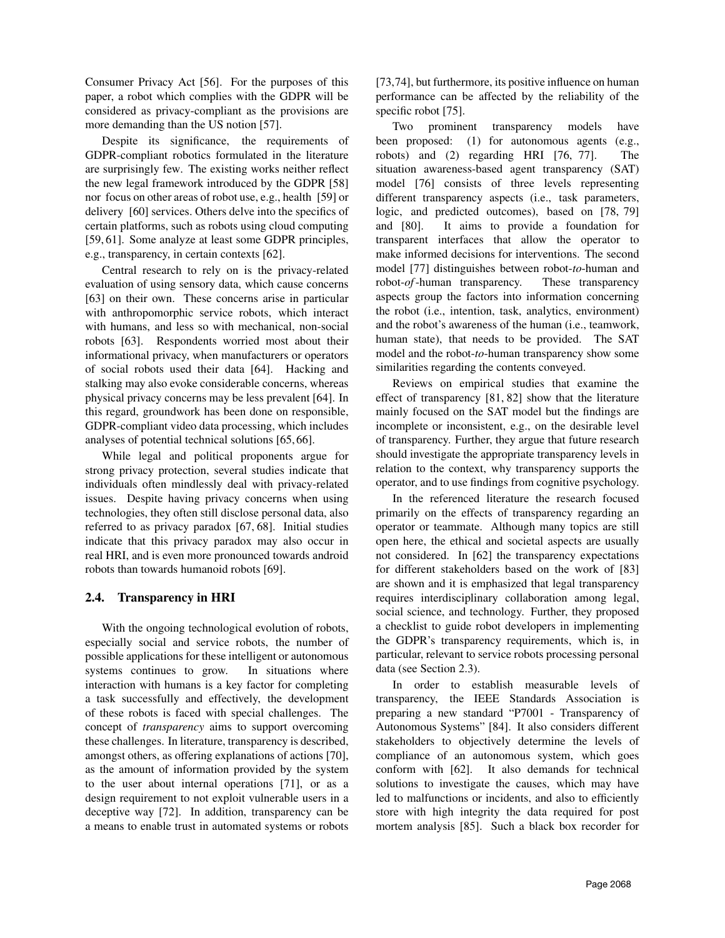Consumer Privacy Act [56]. For the purposes of this paper, a robot which complies with the GDPR will be considered as privacy-compliant as the provisions are more demanding than the US notion [57].

Despite its significance, the requirements of GDPR-compliant robotics formulated in the literature are surprisingly few. The existing works neither reflect the new legal framework introduced by the GDPR [58] nor focus on other areas of robot use, e.g., health [59] or delivery [60] services. Others delve into the specifics of certain platforms, such as robots using cloud computing [59, 61]. Some analyze at least some GDPR principles, e.g., transparency, in certain contexts [62].

Central research to rely on is the privacy-related evaluation of using sensory data, which cause concerns [63] on their own. These concerns arise in particular with anthropomorphic service robots, which interact with humans, and less so with mechanical, non-social robots [63]. Respondents worried most about their informational privacy, when manufacturers or operators of social robots used their data [64]. Hacking and stalking may also evoke considerable concerns, whereas physical privacy concerns may be less prevalent [64]. In this regard, groundwork has been done on responsible, GDPR-compliant video data processing, which includes analyses of potential technical solutions [65, 66].

While legal and political proponents argue for strong privacy protection, several studies indicate that individuals often mindlessly deal with privacy-related issues. Despite having privacy concerns when using technologies, they often still disclose personal data, also referred to as privacy paradox [67, 68]. Initial studies indicate that this privacy paradox may also occur in real HRI, and is even more pronounced towards android robots than towards humanoid robots [69].

#### 2.4. Transparency in HRI

With the ongoing technological evolution of robots, especially social and service robots, the number of possible applications for these intelligent or autonomous systems continues to grow. In situations where interaction with humans is a key factor for completing a task successfully and effectively, the development of these robots is faced with special challenges. The concept of *transparency* aims to support overcoming these challenges. In literature, transparency is described, amongst others, as offering explanations of actions [70], as the amount of information provided by the system to the user about internal operations [71], or as a design requirement to not exploit vulnerable users in a deceptive way [72]. In addition, transparency can be a means to enable trust in automated systems or robots

[73,74], but furthermore, its positive influence on human performance can be affected by the reliability of the specific robot [75].

Two prominent transparency models have been proposed: (1) for autonomous agents (e.g., robots) and (2) regarding HRI [76, 77]. The situation awareness-based agent transparency (SAT) model [76] consists of three levels representing different transparency aspects (i.e., task parameters, logic, and predicted outcomes), based on [78, 79] and [80]. It aims to provide a foundation for transparent interfaces that allow the operator to make informed decisions for interventions. The second model [77] distinguishes between robot-*to*-human and robot-*of*-human transparency. These transparency aspects group the factors into information concerning the robot (i.e., intention, task, analytics, environment) and the robot's awareness of the human (i.e., teamwork, human state), that needs to be provided. The SAT model and the robot-*to*-human transparency show some similarities regarding the contents conveyed.

Reviews on empirical studies that examine the effect of transparency [81, 82] show that the literature mainly focused on the SAT model but the findings are incomplete or inconsistent, e.g., on the desirable level of transparency. Further, they argue that future research should investigate the appropriate transparency levels in relation to the context, why transparency supports the operator, and to use findings from cognitive psychology.

In the referenced literature the research focused primarily on the effects of transparency regarding an operator or teammate. Although many topics are still open here, the ethical and societal aspects are usually not considered. In [62] the transparency expectations for different stakeholders based on the work of [83] are shown and it is emphasized that legal transparency requires interdisciplinary collaboration among legal, social science, and technology. Further, they proposed a checklist to guide robot developers in implementing the GDPR's transparency requirements, which is, in particular, relevant to service robots processing personal data (see Section 2.3).

In order to establish measurable levels of transparency, the IEEE Standards Association is preparing a new standard "P7001 - Transparency of Autonomous Systems" [84]. It also considers different stakeholders to objectively determine the levels of compliance of an autonomous system, which goes conform with [62]. It also demands for technical solutions to investigate the causes, which may have led to malfunctions or incidents, and also to efficiently store with high integrity the data required for post mortem analysis [85]. Such a black box recorder for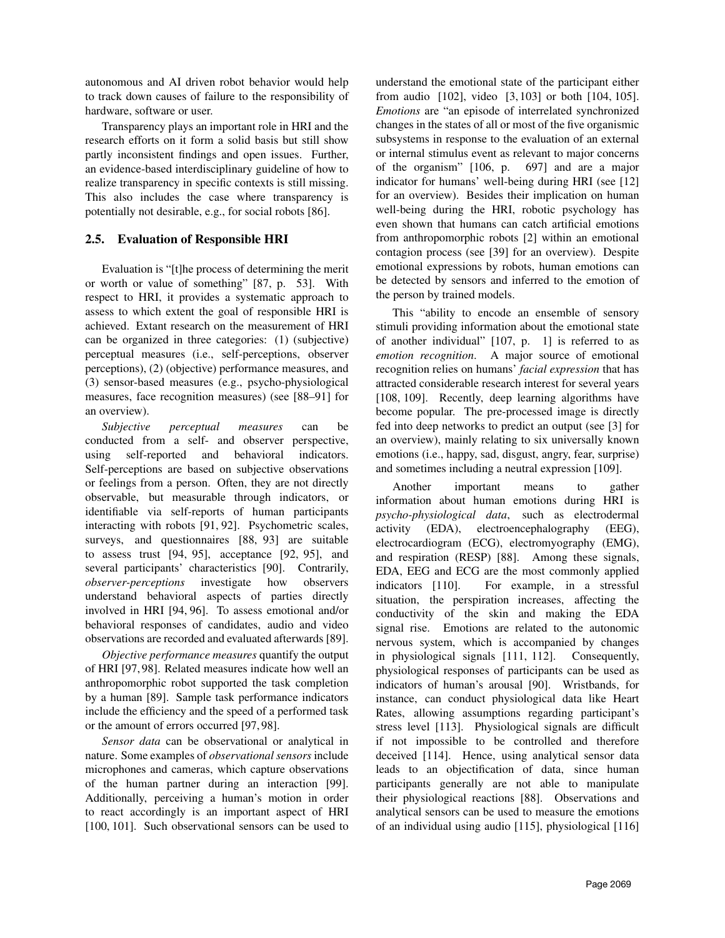autonomous and AI driven robot behavior would help to track down causes of failure to the responsibility of hardware, software or user.

Transparency plays an important role in HRI and the research efforts on it form a solid basis but still show partly inconsistent findings and open issues. Further, an evidence-based interdisciplinary guideline of how to realize transparency in specific contexts is still missing. This also includes the case where transparency is potentially not desirable, e.g., for social robots [86].

## 2.5. Evaluation of Responsible HRI

Evaluation is "[t]he process of determining the merit or worth or value of something" [87, p. 53]. With respect to HRI, it provides a systematic approach to assess to which extent the goal of responsible HRI is achieved. Extant research on the measurement of HRI can be organized in three categories: (1) (subjective) perceptual measures (i.e., self-perceptions, observer perceptions), (2) (objective) performance measures, and (3) sensor-based measures (e.g., psycho-physiological measures, face recognition measures) (see [88–91] for an overview).

*Subjective perceptual measures* can be conducted from a self- and observer perspective, using self-reported and behavioral indicators. Self-perceptions are based on subjective observations or feelings from a person. Often, they are not directly observable, but measurable through indicators, or identifiable via self-reports of human participants interacting with robots [91, 92]. Psychometric scales, surveys, and questionnaires [88, 93] are suitable to assess trust [94, 95], acceptance [92, 95], and several participants' characteristics [90]. Contrarily, *observer-perceptions* investigate how observers understand behavioral aspects of parties directly involved in HRI [94, 96]. To assess emotional and/or behavioral responses of candidates, audio and video observations are recorded and evaluated afterwards [89].

*Objective performance measures* quantify the output of HRI [97, 98]. Related measures indicate how well an anthropomorphic robot supported the task completion by a human [89]. Sample task performance indicators include the efficiency and the speed of a performed task or the amount of errors occurred [97, 98].

*Sensor data* can be observational or analytical in nature. Some examples of *observational sensors* include microphones and cameras, which capture observations of the human partner during an interaction [99]. Additionally, perceiving a human's motion in order to react accordingly is an important aspect of HRI [100, 101]. Such observational sensors can be used to

understand the emotional state of the participant either from audio [102], video [3, 103] or both [104, 105]. *Emotions* are "an episode of interrelated synchronized changes in the states of all or most of the five organismic subsystems in response to the evaluation of an external or internal stimulus event as relevant to major concerns of the organism" [106, p. 697] and are a major indicator for humans' well-being during HRI (see [12] for an overview). Besides their implication on human well-being during the HRI, robotic psychology has even shown that humans can catch artificial emotions from anthropomorphic robots [2] within an emotional contagion process (see [39] for an overview). Despite emotional expressions by robots, human emotions can be detected by sensors and inferred to the emotion of the person by trained models.

This "ability to encode an ensemble of sensory stimuli providing information about the emotional state of another individual" [107, p. 1] is referred to as *emotion recognition*. A major source of emotional recognition relies on humans' *facial expression* that has attracted considerable research interest for several years [108, 109]. Recently, deep learning algorithms have become popular. The pre-processed image is directly fed into deep networks to predict an output (see [3] for an overview), mainly relating to six universally known emotions (i.e., happy, sad, disgust, angry, fear, surprise) and sometimes including a neutral expression [109].

Another important means to gather information about human emotions during HRI is *psycho-physiological data*, such as electrodermal activity (EDA), electroencephalography (EEG), electrocardiogram (ECG), electromyography (EMG), and respiration (RESP) [88]. Among these signals, EDA, EEG and ECG are the most commonly applied indicators [110]. For example, in a stressful situation, the perspiration increases, affecting the conductivity of the skin and making the EDA signal rise. Emotions are related to the autonomic nervous system, which is accompanied by changes in physiological signals [111, 112]. Consequently, physiological responses of participants can be used as indicators of human's arousal [90]. Wristbands, for instance, can conduct physiological data like Heart Rates, allowing assumptions regarding participant's stress level [113]. Physiological signals are difficult if not impossible to be controlled and therefore deceived [114]. Hence, using analytical sensor data leads to an objectification of data, since human participants generally are not able to manipulate their physiological reactions [88]. Observations and analytical sensors can be used to measure the emotions of an individual using audio [115], physiological [116]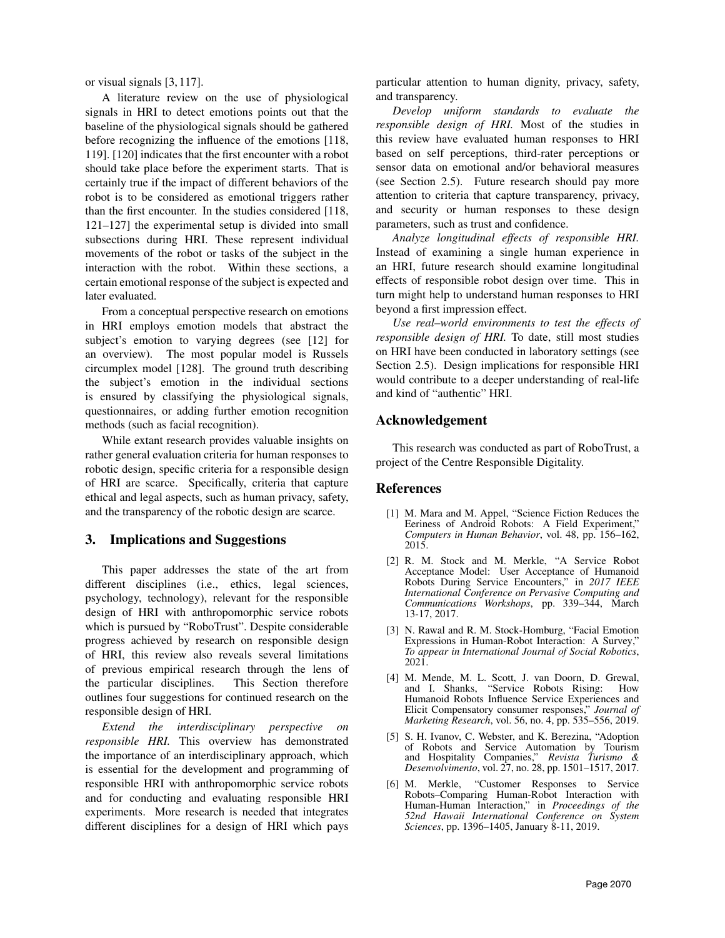or visual signals [3, 117].

A literature review on the use of physiological signals in HRI to detect emotions points out that the baseline of the physiological signals should be gathered before recognizing the influence of the emotions [118, 119]. [120] indicates that the first encounter with a robot should take place before the experiment starts. That is certainly true if the impact of different behaviors of the robot is to be considered as emotional triggers rather than the first encounter. In the studies considered [118, 121–127] the experimental setup is divided into small subsections during HRI. These represent individual movements of the robot or tasks of the subject in the interaction with the robot. Within these sections, a certain emotional response of the subject is expected and later evaluated.

From a conceptual perspective research on emotions in HRI employs emotion models that abstract the subject's emotion to varying degrees (see [12] for an overview). The most popular model is Russels circumplex model [128]. The ground truth describing the subject's emotion in the individual sections is ensured by classifying the physiological signals, questionnaires, or adding further emotion recognition methods (such as facial recognition).

While extant research provides valuable insights on rather general evaluation criteria for human responses to robotic design, specific criteria for a responsible design of HRI are scarce. Specifically, criteria that capture ethical and legal aspects, such as human privacy, safety, and the transparency of the robotic design are scarce.

## 3. Implications and Suggestions

This paper addresses the state of the art from different disciplines (i.e., ethics, legal sciences, psychology, technology), relevant for the responsible design of HRI with anthropomorphic service robots which is pursued by "RoboTrust". Despite considerable progress achieved by research on responsible design of HRI, this review also reveals several limitations of previous empirical research through the lens of the particular disciplines. This Section therefore outlines four suggestions for continued research on the responsible design of HRI.

*Extend the interdisciplinary perspective on responsible HRI.* This overview has demonstrated the importance of an interdisciplinary approach, which is essential for the development and programming of responsible HRI with anthropomorphic service robots and for conducting and evaluating responsible HRI experiments. More research is needed that integrates different disciplines for a design of HRI which pays

particular attention to human dignity, privacy, safety, and transparency.

*Develop uniform standards to evaluate the responsible design of HRI.* Most of the studies in this review have evaluated human responses to HRI based on self perceptions, third-rater perceptions or sensor data on emotional and/or behavioral measures (see Section 2.5). Future research should pay more attention to criteria that capture transparency, privacy, and security or human responses to these design parameters, such as trust and confidence.

*Analyze longitudinal effects of responsible HRI.* Instead of examining a single human experience in an HRI, future research should examine longitudinal effects of responsible robot design over time. This in turn might help to understand human responses to HRI beyond a first impression effect.

*Use real–world environments to test the effects of responsible design of HRI.* To date, still most studies on HRI have been conducted in laboratory settings (see Section 2.5). Design implications for responsible HRI would contribute to a deeper understanding of real-life and kind of "authentic" HRI.

# Acknowledgement

This research was conducted as part of RoboTrust, a project of the Centre Responsible Digitality.

## References

- [1] M. Mara and M. Appel, "Science Fiction Reduces the Eeriness of Android Robots: A Field Experiment, *Computers in Human Behavior*, vol. 48, pp. 156–162, 2015.
- [2] R. M. Stock and M. Merkle, "A Service Robot Acceptance Model: User Acceptance of Humanoid Robots During Service Encounters," in *2017 IEEE International Conference on Pervasive Computing and Communications Workshops*, pp. 339–344, March 13-17, 2017.
- [3] N. Rawal and R. M. Stock-Homburg, "Facial Emotion Expressions in Human-Robot Interaction: A Survey," *To appear in International Journal of Social Robotics*, 2021.
- [4] M. Mende, M. L. Scott, J. van Doorn, D. Grewal, and I. Shanks, "Service Robots Rising: How Humanoid Robots Influence Service Experiences and Elicit Compensatory consumer responses," *Journal of Marketing Research*, vol. 56, no. 4, pp. 535–556, 2019.
- [5] S. H. Ivanov, C. Webster, and K. Berezina, "Adoption of Robots and Service Automation by Tourism and Hospitality Companies," *Revista Turismo & Desenvolvimento*, vol. 27, no. 28, pp. 1501–1517, 2017.
- [6] M. Merkle, "Customer Responses to Service Robots–Comparing Human-Robot Interaction with Human-Human Interaction," in *Proceedings of the 52nd Hawaii International Conference on System Sciences*, pp. 1396–1405, January 8-11, 2019.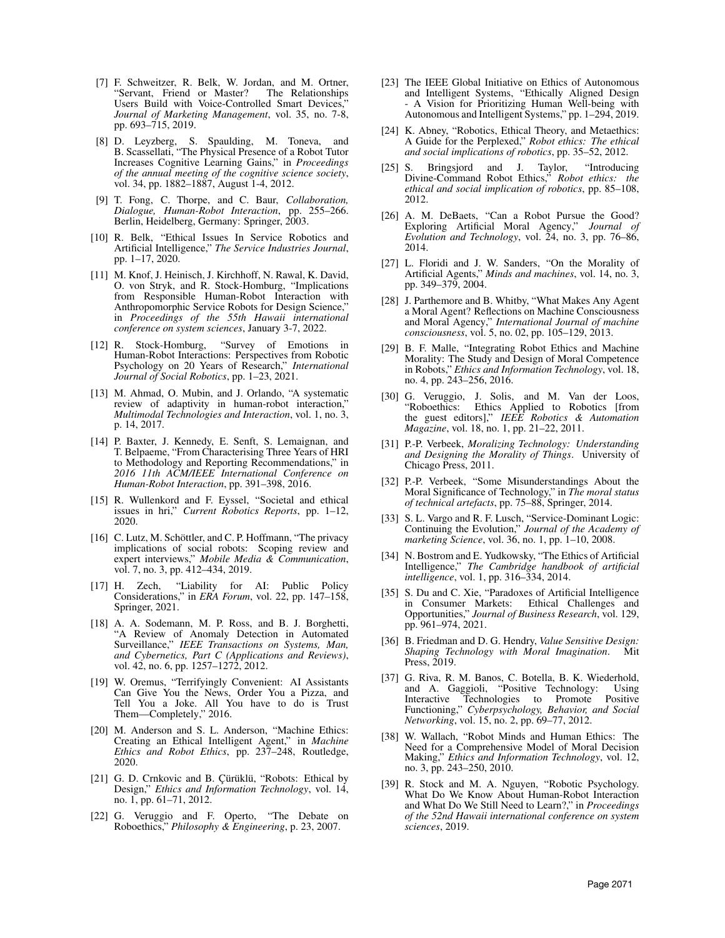- [7] F. Schweitzer, R. Belk, W. Jordan, and M. Ortner, "Servant, Friend or Master? The Relationships Users Build with Voice-Controlled Smart Devices," *Journal of Marketing Management*, vol. 35, no. 7-8, pp. 693–715, 2019.
- [8] D. Leyzberg, S. Spaulding, M. Toneva, and B. Scassellati, "The Physical Presence of a Robot Tutor Increases Cognitive Learning Gains," in *Proceedings of the annual meeting of the cognitive science society*, vol. 34, pp. 1882–1887, August 1-4, 2012.
- [9] T. Fong, C. Thorpe, and C. Baur, *Collaboration, Dialogue, Human-Robot Interaction*, pp. 255–266. Berlin, Heidelberg, Germany: Springer, 2003.
- [10] R. Belk, "Ethical Issues In Service Robotics and Artificial Intelligence," *The Service Industries Journal*, pp. 1–17, 2020.
- [11] M. Knof, J. Heinisch, J. Kirchhoff, N. Rawal, K. David, O. von Stryk, and R. Stock-Homburg, "Implications from Responsible Human-Robot Interaction with Anthropomorphic Service Robots for Design Science," in *Proceedings of the 55th Hawaii international conference on system sciences*, January 3-7, 2022.
- [12] R. Stock-Homburg, "Survey of Emotions in Human-Robot Interactions: Perspectives from Robotic Psychology on 20 Years of Research," *International Journal of Social Robotics*, pp. 1–23, 2021.
- [13] M. Ahmad, O. Mubin, and J. Orlando, "A systematic review of adaptivity in human-robot interaction," *Multimodal Technologies and Interaction*, vol. 1, no. 3, p. 14, 2017.
- [14] P. Baxter, J. Kennedy, E. Senft, S. Lemaignan, and T. Belpaeme, "From Characterising Three Years of HRI to Methodology and Reporting Recommendations," in *2016 11th ACM/IEEE International Conference on Human-Robot Interaction*, pp. 391–398, 2016.
- [15] R. Wullenkord and F. Eyssel, "Societal and ethical issues in hri," *Current Robotics Reports*, pp. 1–12, 2020.
- [16] C. Lutz, M. Schöttler, and C. P. Hoffmann, "The privacy implications of social robots: Scoping review and expert interviews," *Mobile Media & Communication*, vol. 7, no. 3, pp. 412–434, 2019.
- [17] H. Zech, "Liability for AI: Public Policy Considerations," in *ERA Forum*, vol. 22, pp. 147–158, Springer, 2021.
- [18] A. A. Sodemann, M. P. Ross, and B. J. Borghetti, "A Review of Anomaly Detection in Automated Surveillance," *IEEE Transactions on Systems, Man, and Cybernetics, Part C (Applications and Reviews)*, vol. 42, no. 6, pp. 1257–1272, 2012.
- [19] W. Oremus, "Terrifyingly Convenient: AI Assistants Can Give You the News, Order You a Pizza, and Tell You a Joke. All You have to do is Trust Them—Completely," 2016.
- [20] M. Anderson and S. L. Anderson, "Machine Ethics: Creating an Ethical Intelligent Agent," in *Machine Ethics and Robot Ethics*, pp. 237–248, Routledge, 2020.
- [21] G. D. Crnkovic and B. Cürüklü, "Robots: Ethical by Design," *Ethics and Information Technology*, vol. 14, no. 1, pp. 61–71, 2012.
- [22] G. Veruggio and F. Operto, "The Debate on Roboethics," *Philosophy & Engineering*, p. 23, 2007.
- [23] The IEEE Global Initiative on Ethics of Autonomous and Intelligent Systems, "Ethically Aligned Design - A Vision for Prioritizing Human Well-being with Autonomous and Intelligent Systems," pp. 1–294, 2019.
- [24] K. Abney, "Robotics, Ethical Theory, and Metaethics: A Guide for the Perplexed," *Robot ethics: The ethical and social implications of robotics*, pp. 35–52, 2012.
- [25] S. Bringsjord and J. Taylor, "Introducing Divine-Command Robot Ethics," *Robot ethics: the ethical and social implication of robotics*, pp. 85–108, 2012.
- [26] A. M. DeBaets, "Can a Robot Pursue the Good? Exploring Artificial Moral Agency," *Journal of Evolution and Technology*, vol. 24, no. 3, pp. 76–86, 2014.
- [27] L. Floridi and J. W. Sanders, "On the Morality of Artificial Agents," *Minds and machines*, vol. 14, no. 3, pp. 349–379, 2004.
- [28] J. Parthemore and B. Whitby, "What Makes Any Agent a Moral Agent? Reflections on Machine Consciousness and Moral Agency," *International Journal of machine consciousness*, vol. 5, no. 02, pp. 105–129, 2013.
- [29] B. F. Malle, "Integrating Robot Ethics and Machine Morality: The Study and Design of Moral Competence in Robots," *Ethics and Information Technology*, vol. 18, no. 4, pp. 243–256, 2016.
- [30] G. Veruggio, J. Solis, and M. Van der Loos, "Roboethics: Ethics Applied to Robotics [from the guest editors]," *IEEE Robotics & Automation Magazine*, vol. 18, no. 1, pp. 21–22, 2011.
- [31] P.-P. Verbeek, *Moralizing Technology: Understanding and Designing the Morality of Things*. University of Chicago Press, 2011.
- [32] P.-P. Verbeek, "Some Misunderstandings About the Moral Significance of Technology," in *The moral status of technical artefacts*, pp. 75–88, Springer, 2014.
- [33] S. L. Vargo and R. F. Lusch, "Service-Dominant Logic: Continuing the Evolution," *Journal of the Academy of marketing Science*, vol. 36, no. 1, pp. 1–10, 2008.
- [34] N. Bostrom and E. Yudkowsky, "The Ethics of Artificial Intelligence," *The Cambridge handbook of artificial intelligence*, vol. 1, pp. 316–334, 2014.
- [35] S. Du and C. Xie, "Paradoxes of Artificial Intelligence Ethical Challenges and Opportunities," *Journal of Business Research*, vol. 129, pp. 961–974, 2021.
- [36] B. Friedman and D. G. Hendry, *Value Sensitive Design: Shaping Technology with Moral Imagination*. Mit Press, 2019.
- [37] G. Riva, R. M. Banos, C. Botella, B. K. Wiederhold, and A. Gaggioli, "Positive Technology: Using and A. Gaggioli, "Positive Technology: Interactive Technologies to Promote Positive Functioning," *Cyberpsychology, Behavior, and Social Networking*, vol. 15, no. 2, pp. 69–77, 2012.
- [38] W. Wallach, "Robot Minds and Human Ethics: The Need for a Comprehensive Model of Moral Decision Making," *Ethics and Information Technology*, vol. 12, no. 3, pp. 243–250, 2010.
- [39] R. Stock and M. A. Nguyen, "Robotic Psychology. What Do We Know About Human-Robot Interaction and What Do We Still Need to Learn?," in *Proceedings of the 52nd Hawaii international conference on system sciences*, 2019.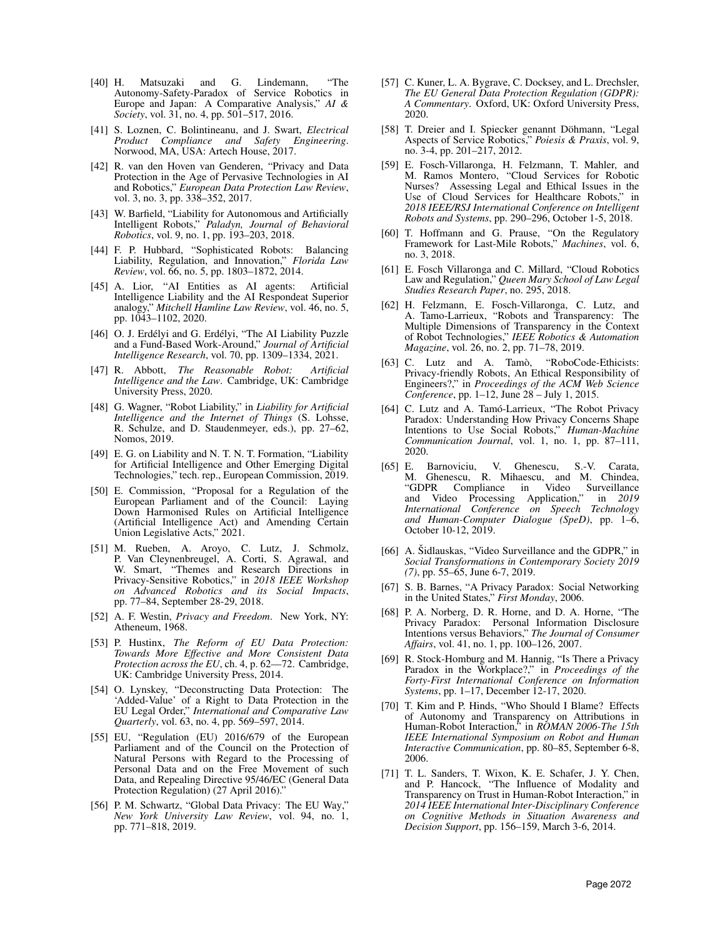- [40] H. Matsuzaki and G. Lindemann, "The Autonomy-Safety-Paradox of Service Robotics in Europe and Japan: A Comparative Analysis," *AI & Society*, vol. 31, no. 4, pp. 501–517, 2016.
- [41] S. Loznen, C. Bolintineanu, and J. Swart, *Electrical Product Compliance and Safety Engineering*. Norwood, MA, USA: Artech House, 2017.
- [42] R. van den Hoven van Genderen, "Privacy and Data Protection in the Age of Pervasive Technologies in AI and Robotics," *European Data Protection Law Review*, vol. 3, no. 3, pp. 338–352, 2017.
- [43] W. Barfield, "Liability for Autonomous and Artificially Intelligent Robots," *Paladyn, Journal of Behavioral Robotics*, vol. 9, no. 1, pp. 193–203, 2018.
- [44] F. P. Hubbard, "Sophisticated Robots: Balancing Liability, Regulation, and Innovation," *Florida Law Review*, vol. 66, no. 5, pp. 1803–1872, 2014.
- [45] A. Lior, "AI Entities as AI agents: Artificial Intelligence Liability and the AI Respondeat Superior analogy," *Mitchell Hamline Law Review*, vol. 46, no. 5, pp. 1043–1102, 2020.
- [46] O. J. Erdélyi and G. Erdélyi, "The AI Liability Puzzle and a Fund-Based Work-Around," *Journal of Artificial Intelligence Research*, vol. 70, pp. 1309–1334, 2021.
- [47] R. Abbott, *The Reasonable Robot: Artificial Intelligence and the Law*. Cambridge, UK: Cambridge University Press, 2020.
- [48] G. Wagner, "Robot Liability," in *Liability for Artificial Intelligence and the Internet of Things* (S. Lohsse, R. Schulze, and D. Staudenmeyer, eds.), pp. 27–62, Nomos, 2019.
- [49] E. G. on Liability and N. T. N. T. Formation, "Liability for Artificial Intelligence and Other Emerging Digital Technologies," tech. rep., European Commission, 2019.
- [50] E. Commission, "Proposal for a Regulation of the European Parliament and of the Council: Laying Down Harmonised Rules on Artificial Intelligence (Artificial Intelligence Act) and Amending Certain Union Legislative Acts," 2021.
- [51] M. Rueben, A. Aroyo, C. Lutz, J. Schmolz, P. Van Cleynenbreugel, A. Corti, S. Agrawal, and W. Smart, "Themes and Research Directions in Privacy-Sensitive Robotics," in *2018 IEEE Workshop on Advanced Robotics and its Social Impacts*, pp. 77–84, September 28-29, 2018.
- [52] A. F. Westin, *Privacy and Freedom*. New York, NY: Atheneum, 1968.
- [53] P. Hustinx, *The Reform of EU Data Protection: Towards More Effective and More Consistent Data Protection across the EU*, ch. 4, p. 62—72. Cambridge, UK: Cambridge University Press, 2014.
- [54] O. Lynskey, "Deconstructing Data Protection: The 'Added-Value' of a Right to Data Protection in the EU Legal Order," *International and Comparative Law Quarterly*, vol. 63, no. 4, pp. 569–597, 2014.
- [55] EU, "Regulation (EU) 2016/679 of the European Parliament and of the Council on the Protection of Natural Persons with Regard to the Processing of Personal Data and on the Free Movement of such Data, and Repealing Directive 95/46/EC (General Data Protection Regulation) (27 April 2016).'
- [56] P. M. Schwartz, "Global Data Privacy: The EU Way," *New York University Law Review*, vol. 94, no. 1, pp. 771–818, 2019.
- [57] C. Kuner, L. A. Bygrave, C. Docksey, and L. Drechsler, *The EU General Data Protection Regulation (GDPR): A Commentary*. Oxford, UK: Oxford University Press, 2020.
- [58] T. Dreier and I. Spiecker genannt Döhmann, "Legal Aspects of Service Robotics," *Poiesis & Praxis*, vol. 9, no. 3-4, pp. 201–217, 2012.
- [59] E. Fosch-Villaronga, H. Felzmann, T. Mahler, and M. Ramos Montero, "Cloud Services for Robotic Nurses? Assessing Legal and Ethical Issues in the Use of Cloud Services for Healthcare Robots," in *2018 IEEE/RSJ International Conference on Intelligent Robots and Systems*, pp. 290–296, October 1-5, 2018.
- [60] T. Hoffmann and G. Prause, "On the Regulatory Framework for Last-Mile Robots," *Machines*, vol. 6, no. 3, 2018.
- [61] E. Fosch Villaronga and C. Millard, "Cloud Robotics Law and Regulation," *Queen Mary School of Law Legal Studies Research Paper*, no. 295, 2018.
- [62] H. Felzmann, E. Fosch-Villaronga, C. Lutz, and A. Tamo-Larrieux, "Robots and Transparency: The Multiple Dimensions of Transparency in the Context of Robot Technologies," *IEEE Robotics & Automation Magazine*, vol. 26, no. 2, pp. 71–78, 2019.
- [63] C. Lutz and A. Tamò, "RoboCode-Ethicists: Privacy-friendly Robots, An Ethical Responsibility of Engineers?," in *Proceedings of the ACM Web Science Conference*, pp. 1–12, June 28 – July 1, 2015.
- [64] C. Lutz and A. Tamó-Larrieux, "The Robot Privacy Paradox: Understanding How Privacy Concerns Shape Intentions to Use Social Robots," *Human-Machine Communication Journal*, vol. 1, no. 1, pp. 87–111, 2020.
- [65] E. Barnoviciu, V. Ghenescu, S.-V. Carata, M. Ghenescu, R. Mihaescu, and M. Chindea, "GDPR Compliance in Video Surveillance and Video Processing Application," in *2019 International Conference on Speech Technology and Human-Computer Dialogue (SpeD)*, pp. 1–6, October 10-12, 2019.
- [66] A. Šidlauskas, "Video Surveillance and the GDPR," in *Social Transformations in Contemporary Society 2019 (7)*, pp. 55–65, June 6-7, 2019.
- [67] S. B. Barnes, "A Privacy Paradox: Social Networking in the United States," *First Monday*, 2006.
- [68] P. A. Norberg, D. R. Horne, and D. A. Horne, "The Privacy Paradox: Personal Information Disclosure Intentions versus Behaviors," *The Journal of Consumer Affairs*, vol. 41, no. 1, pp. 100–126, 2007.
- [69] R. Stock-Homburg and M. Hannig, "Is There a Privacy Paradox in the Workplace?," in *Proceedings of the Forty-First International Conference on Information Systems*, pp. 1–17, December 12-17, 2020.
- [70] T. Kim and P. Hinds, "Who Should I Blame? Effects of Autonomy and Transparency on Attributions in Human-Robot Interaction," in *ROMAN 2006-The 15th IEEE International Symposium on Robot and Human Interactive Communication*, pp. 80–85, September 6-8, 2006.
- [71] T. L. Sanders, T. Wixon, K. E. Schafer, J. Y. Chen, and P. Hancock, "The Influence of Modality and Transparency on Trust in Human-Robot Interaction," in *2014 IEEE International Inter-Disciplinary Conference on Cognitive Methods in Situation Awareness and Decision Support*, pp. 156–159, March 3-6, 2014.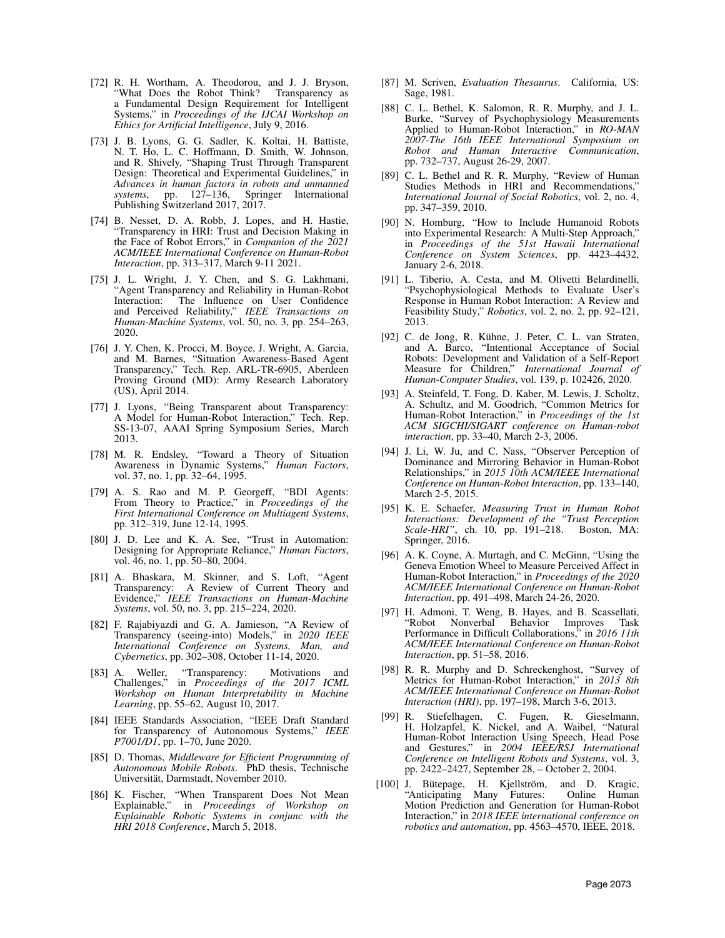- [72] R. H. Wortham, A. Theodorou, and J. J. Bryson, "What Does the Robot Think? Transparency as a Fundamental Design Requirement for Intelligent Systems," in *Proceedings of the IJCAI Workshop on Ethics for Artificial Intelligence*, July 9, 2016.
- [73] J. B. Lyons, G. G. Sadler, K. Koltai, H. Battiste, N. T. Ho, L. C. Hoffmann, D. Smith, W. Johnson, and R. Shively, "Shaping Trust Through Transparent Design: Theoretical and Experimental Guidelines," in *Advances in human factors in robots and unmanned systems*, pp. 127–136, Springer International Publishing Switzerland 2017, 2017.
- [74] B. Nesset, D. A. Robb, J. Lopes, and H. Hastie, "Transparency in HRI: Trust and Decision Making in the Face of Robot Errors," in *Companion of the 2021 ACM/IEEE International Conference on Human-Robot Interaction*, pp. 313–317, March 9-11 2021.
- [75] J. L. Wright, J. Y. Chen, and S. G. Lakhmani, "Agent Transparency and Reliability in Human-Robot Interaction: The Influence on User Confidence and Perceived Reliability," *IEEE Transactions on Human-Machine Systems*, vol. 50, no. 3, pp. 254–263, 2020.
- [76] J. Y. Chen, K. Procci, M. Boyce, J. Wright, A. Garcia, and M. Barnes, "Situation Awareness-Based Agent Transparency," Tech. Rep. ARL-TR-6905, Aberdeen Proving Ground (MD): Army Research Laboratory (US), April 2014.
- [77] J. Lyons, "Being Transparent about Transparency: A Model for Human-Robot Interaction," Tech. Rep. SS-13-07, AAAI Spring Symposium Series, March 2013.
- [78] M. R. Endsley, "Toward a Theory of Situation Awareness in Dynamic Systems," *Human Factors*, vol. 37, no. 1, pp. 32–64, 1995.
- [79] A. S. Rao and M. P. Georgeff, "BDI Agents: From Theory to Practice," in *Proceedings of the First International Conference on Multiagent Systems*, pp. 312–319, June 12-14, 1995.
- [80] J. D. Lee and K. A. See, "Trust in Automation: Designing for Appropriate Reliance," *Human Factors*, vol. 46, no. 1, pp. 50–80, 2004.
- [81] A. Bhaskara, M. Skinner, and S. Loft, "Agent Transparency: A Review of Current Theory and Evidence," *IEEE Transactions on Human-Machine Systems*, vol. 50, no. 3, pp. 215–224, 2020.
- [82] F. Rajabiyazdi and G. A. Jamieson, "A Review of Transparency (seeing-into) Models," in *2020 IEEE International Conference on Systems, Man, and Cybernetics*, pp. 302–308, October 11-14, 2020.
- [83] A. Weller, "Transparency: Motivations and Challenges," in *Proceedings of the 2017 ICML Workshop on Human Interpretability in Machine Learning*, pp. 55–62, August 10, 2017.
- [84] IEEE Standards Association, "IEEE Draft Standard for Transparency of Autonomous Systems," *IEEE P7001/D1*, pp. 1–70, June 2020.
- [85] D. Thomas, *Middleware for Efficient Programming of Autonomous Mobile Robots*. PhD thesis, Technische Universitat, Darmstadt, November 2010. ¨
- [86] K. Fischer, "When Transparent Does Not Mean Explainable," in *Proceedings of Workshop on Explainable Robotic Systems in conjunc with the HRI 2018 Conference*, March 5, 2018.
- [87] M. Scriven, *Evaluation Thesaurus*. California, US: Sage, 1981.
- [88] C. L. Bethel, K. Salomon, R. R. Murphy, and J. L. Burke, "Survey of Psychophysiology Measurements Applied to Human-Robot Interaction," in *RO-MAN 2007-The 16th IEEE International Symposium on Robot and Human Interactive Communication*, pp. 732–737, August 26-29, 2007.
- [89] C. L. Bethel and R. R. Murphy, "Review of Human Studies Methods in HRI and Recommendations," *International Journal of Social Robotics*, vol. 2, no. 4, pp. 347–359, 2010.
- [90] N. Homburg, "How to Include Humanoid Robots into Experimental Research: A Multi-Step Approach," in *Proceedings of the 51st Hawaii International Conference on System Sciences*, pp. 4423–4432, January 2-6, 2018.
- [91] L. Tiberio, A. Cesta, and M. Olivetti Belardinelli, "Psychophysiological Methods to Evaluate User's Response in Human Robot Interaction: A Review and Feasibility Study," *Robotics*, vol. 2, no. 2, pp. 92–121, 2013.
- [92] C. de Jong, R. Kühne, J. Peter, C. L. van Straten, and A. Barco, "Intentional Acceptance of Social Robots: Development and Validation of a Self-Report Measure for Children," *International Journal of Human-Computer Studies*, vol. 139, p. 102426, 2020.
- [93] A. Steinfeld, T. Fong, D. Kaber, M. Lewis, J. Scholtz, A. Schultz, and M. Goodrich, "Common Metrics for Human-Robot Interaction," in *Proceedings of the 1st ACM SIGCHI/SIGART conference on Human-robot interaction*, pp. 33–40, March 2-3, 2006.
- [94] J. Li, W. Ju, and C. Nass, "Observer Perception of Dominance and Mirroring Behavior in Human-Robot Relationships," in *2015 10th ACM/IEEE International Conference on Human-Robot Interaction*, pp. 133–140, March 2-5, 2015.
- [95] K. E. Schaefer, *Measuring Trust in Human Robot Interactions: Development of the "Trust Perception Scale-HRI"*, ch. 10, pp. 191–218. Boston, MA: Springer, 2016.
- [96] A. K. Coyne, A. Murtagh, and C. McGinn, "Using the Geneva Emotion Wheel to Measure Perceived Affect in Human-Robot Interaction," in *Proceedings of the 2020 ACM/IEEE International Conference on Human-Robot Interaction*, pp. 491–498, March 24-26, 2020.
- [97] H. Admoni, T. Weng, B. Hayes, and B. Scassellati, "Robot Nonverbal Behavior Improves Task Performance in Difficult Collaborations," in *2016 11th ACM/IEEE International Conference on Human-Robot Interaction*, pp. 51–58, 2016.
- [98] R. R. Murphy and D. Schreckenghost, "Survey of Metrics for Human-Robot Interaction," in *2013 8th ACM/IEEE International Conference on Human-Robot Interaction (HRI)*, pp. 197–198, March 3-6, 2013.
- [99] R. Stiefelhagen, C. Fugen, R. Gieselmann, H. Holzapfel, K. Nickel, and A. Waibel, "Natural Human-Robot Interaction Using Speech, Head Pose and Gestures," in *2004 IEEE/RSJ International Conference on Intelligent Robots and Systems*, vol. 3, pp. 2422–2427, September 28, – October 2, 2004.
- [100] J. Bütepage, H. Kjellström, and D. Kragic, "Anticipating Many Futures: Online Human Motion Prediction and Generation for Human-Robot Interaction," in *2018 IEEE international conference on robotics and automation*, pp. 4563–4570, IEEE, 2018.